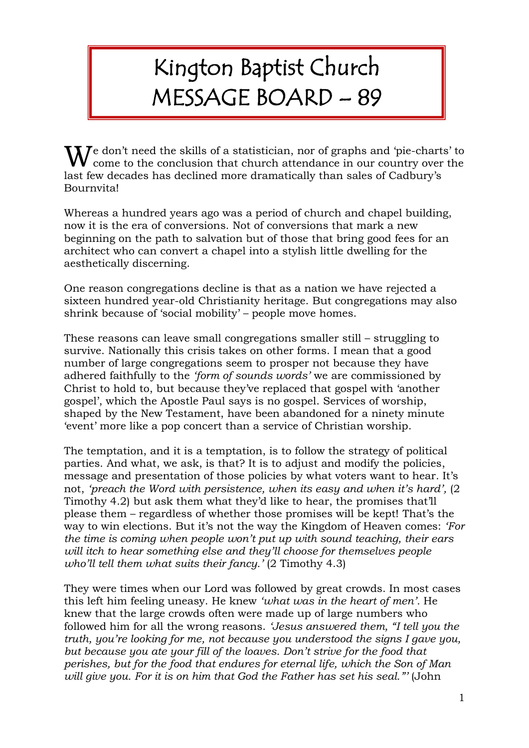## Kington Baptist Church MESSAGE BOARD – 89

 $\mathbf{W}$  come to the conclusion that church attendance in our country over the conclusion that church attendance in our country over the come to the conclusion that church attendance in our country over the last few decades has declined more dramatically than sales of Cadbury's Bournvita!

Whereas a hundred years ago was a period of church and chapel building, now it is the era of conversions. Not of conversions that mark a new beginning on the path to salvation but of those that bring good fees for an architect who can convert a chapel into a stylish little dwelling for the aesthetically discerning.

One reason congregations decline is that as a nation we have rejected a sixteen hundred year-old Christianity heritage. But congregations may also shrink because of 'social mobility' – people move homes.

These reasons can leave small congregations smaller still – struggling to survive. Nationally this crisis takes on other forms. I mean that a good number of large congregations seem to prosper not because they have adhered faithfully to the *'form of sounds words'* we are commissioned by Christ to hold to, but because they've replaced that gospel with 'another gospel', which the Apostle Paul says is no gospel. Services of worship, shaped by the New Testament, have been abandoned for a ninety minute 'event' more like a pop concert than a service of Christian worship.

The temptation, and it is a temptation, is to follow the strategy of political parties. And what, we ask, is that? It is to adjust and modify the policies, message and presentation of those policies by what voters want to hear. It's not, *'preach the Word with persistence, when its easy and when it's hard',* (2 Timothy 4.2) but ask them what they'd like to hear, the promises that'll please them – regardless of whether those promises will be kept! That's the way to win elections. But it's not the way the Kingdom of Heaven comes: *'For the time is coming when people won't put up with sound teaching, their ears will itch to hear something else and they'll choose for themselves people who'll tell them what suits their fancy.'* (2 Timothy 4.3)

They were times when our Lord was followed by great crowds. In most cases this left him feeling uneasy. He knew *'what was in the heart of men'.* He knew that the large crowds often were made up of large numbers who followed him for all the wrong reasons. *'Jesus answered them, "I tell you the truth, you're looking for me, not because you understood the signs I gave you, but because you ate your fill of the loaves. Don't strive for the food that perishes, but for the food that endures for eternal life, which the Son of Man will give you. For it is on him that God the Father has set his seal."'* (John